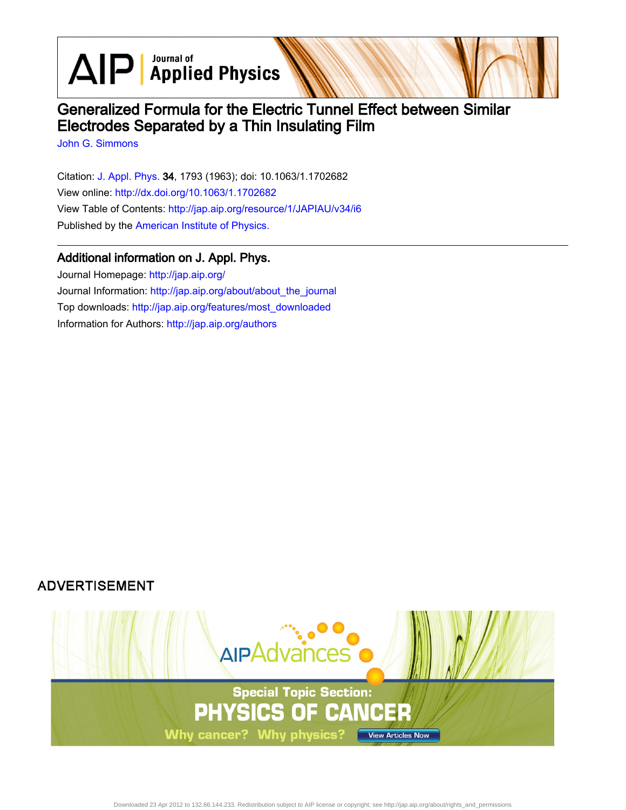$\text{AlP}$  Applied Physics

# Generalized Formula for the Electric Tunnel Effect between Similar Electrodes Separated by a Thin Insulating Film

[John G. Simmons](http://jap.aip.org/search?sortby=newestdate&q=&searchzone=2&searchtype=searchin&faceted=faceted&key=AIP_ALL&possible1=John G. Simmons&possible1zone=author&alias=&displayid=AIP&ver=pdfcov)

Citation: [J. Appl. Phys.](http://jap.aip.org/?ver=pdfcov) 34, 1793 (1963); doi: 10.1063/1.1702682 View online: [http://dx.doi.org/10.1063/1.1702682](http://link.aip.org/link/doi/10.1063/1.1702682?ver=pdfcov) View Table of Contents: [http://jap.aip.org/resource/1/JAPIAU/v34/i6](http://jap.aip.org/resource/1/JAPIAU/v34/i6?ver=pdfcov) Published by the [American Institute of Physics.](http://www.aip.org/?ver=pdfcov)

# Additional information on J. Appl. Phys.

Journal Homepage: [http://jap.aip.org/](http://jap.aip.org/?ver=pdfcov) Journal Information: [http://jap.aip.org/about/about\\_the\\_journal](http://jap.aip.org/about/about_the_journal?ver=pdfcov) Top downloads: [http://jap.aip.org/features/most\\_downloaded](http://jap.aip.org/features/most_downloaded?ver=pdfcov) Information for Authors: [http://jap.aip.org/authors](http://jap.aip.org/authors?ver=pdfcov)

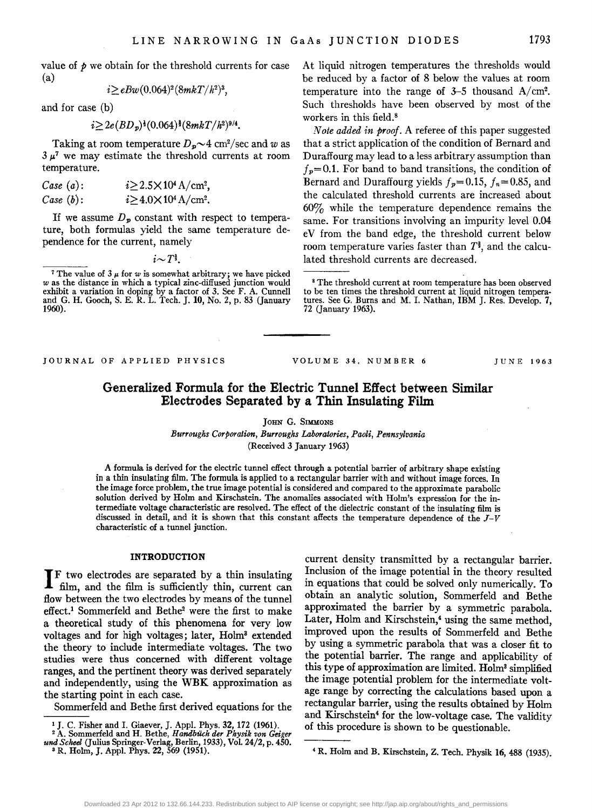value of  $\phi$  we obtain for the threshold currents for case (a)

$$
i\!\geq\!eBw(0.064)^{\rm 2}(8mkT/h^{\rm 2})^{\rm 3},
$$

and for case (b)

$$
i \!\geq\! 2e(BD_{p})^{\frac{1}{2}}(0.064)^{\frac{1}{2}}(8mkT/h^{2})^{9/4}.
$$

Taking at room temperature  $D_p \sim 4 \text{ cm}^2/\text{sec}$  and w as  $3 \mu^7$  we may estimate the threshold currents at room temperature.

| Case (a): | $i \geq 2.5 \times 10^4$ A/cm <sup>2</sup> , |
|-----------|----------------------------------------------|
| Case (b): | $i \geq 4.0 \times 10^4$ A/cm <sup>2</sup> . |

If we assume  $D_p$  constant with respect to temperature, both formulas yield the same temperature dependence for the current, namely

 $i \sim T^*$ .

<sup>7</sup> The value of  $3 \mu$  for  $w$  is somewhat arbitrary; we have picked  $w$  as the distance in which a typical zinc-diffused junction would exhibit a variation in doping by a factor of 3. See F. A. Cunnell<br>and G. H. Gooch, S. E. R. L. Tech. J. 10, No. 2, p. 83 (January<br>1960). At liquid nitrogen temperatures the thresholds would be reduced by a factor of 8 below the values at room temperature into the range of  $3-5$  thousand  $A/cm^2$ . Such thresholds have been observed by most of the workers in this field. 8

*Note added in prooj.* A referee of this paper suggested that a strict application of the condition of Bernard and Duraffourg may lead to a less arbitrary assumption than  $f_p=0.1$ . For band to band transitions, the condition of Bernard and Duraffourg yields  $f_p=0.15$ ,  $f_n=0.85$ , and the calculated threshold currents are increased about 60% while the temperature dependence remains the same. For transitions involving an impurity level 0.04 eV from the band edge, the threshold current below room temperature varies faster than *Ti,* and the calculated threshold currents are decreased.

JOURNAL OF APPLIED PHYSICS

VOLUME 34, NUMBER 6 JUNE 1963

# Generalized Formula for the Electric Tunnel Effect between Similar Electrodes Separated by a Thin Insulating Film

JOHN G. SIMMONS

*Burroughs Corporation, Burroughs Laboratories, Paoli, Pennsylvania*  (Received 3 January 1963)

A formula is derived for the electric tunnel effect through a potential barrier of arbitrary shape existing in a thin insulating film. The formula is applied to a rectangular barrier with and without image forces. In the image force problem, the true image potential is considered and compared to the approximate parabolic solution derived by Holm and Kirschstein. The anomalies associated with Holm's expression for the intermediate voltage characteristic are resolved. The effect of the dielectric constant of the insulating film is discussed in detail, and it is shown that this constant affects the temperature dependence of the  $J-V$ characteristic of a tunnel junction.

#### INTRODUCTION

IF two electrodes are separated by a thin insulating film, and the film is sufficiently thin, current can flow between the two electrodes by means of the tunnel effect.1 Sommerfeld and Bethe2 were the first to make a theoretical study of this phenomena for very low voltages and for high voltages; later, Holm3 extended the theory to include intermediate voltages. The two studies were thus concerned with different voltage ranges, and the pertinent theory was derived separately and independently, using the WBK approximation as the starting point in each case.

Sommerfeld and Bethe first derived equations for the

current density transmitted by a rectangular barrier. Inclusion of the image potential in the theory resulted in equations that could be solved only numerically. To obtain an analytic solution, Sommerfeld and Bethe approximated the barrier by a symmetric parabola. Later, Holm and Kirschstein,<sup>4</sup> using the same method, improved upon the results of Sommerfeld and Bethe by using a symmetric parabola that was a closer fit to the potential barrier. The range and applicability of this type of approximation are limited. Holm<sup>3</sup> simplified the image potential problem for the intermediate voltage range by correcting the calculations based upon a rectangular barrier, using the results obtained by Holm and Kirschstein<sup>4</sup> for the low-voltage case. The validity of this procedure is shown to be questionable.

<sup>8</sup> The threshold current at room temperature has been observed to be ten times the threshold current at liquid nitrogen temperatures. See G. Burns and M. I. Nathan, IBM J. Res. Develop. 7, 72 (January 1963).

<sup>1</sup> J. C. Fisher and I. Giaever, J. AppJ. Phys. 32, 172 (1961). 2 A. Sommerfeld and H. Bethe, *Handblich de,. Physik von Geiger* 

*und Scheel* (Julius Springer-Verlag, Berlin, 1933) , Vol. 24/2, p. 450. 3 R. Holm, J. AppJ. Phys. 22, 569 (1951).

<sup>4</sup> R. Holm and B. Kirschstein, Z. Tech. Physik 16, 488 (1935).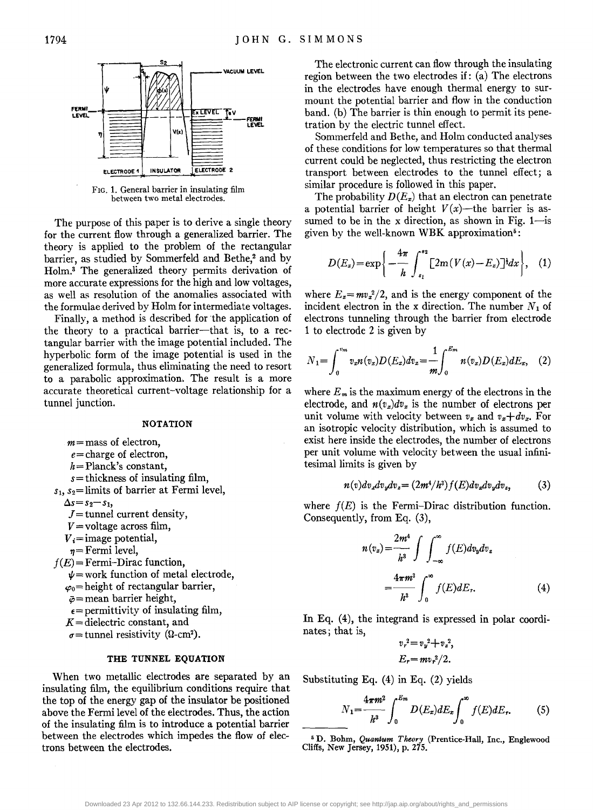

FIG. 1. General barrier in insulating film between two metal electrodes.

The purpose of this paper is to derive a single theory for the current flow through a generalized barrier. The theory is applied to the problem of the rectangular barrier, as studied by Sommerfeld and Bethe,<sup>2</sup> and by Holm.3 The generalized theory permits derivation of more accurate expressions for the high and low voltages, as well as resolution of the anomalies associated with the formulae derived by Holm for intermediate voltages.

Finally, a method is described for the application of the theory to a practical barrier-that is, to a rectangular barrier with the image potential included. The hyperbolic form of the image potential is used in the generalized formula, thus eliminating the need to resort to a parabolic approximation. The result is a more accurate theoretical current-voltage relationship for a tunnel junction.

#### **NOTATION**

 $m =$  mass of electron,

- *e=* charge of electron,
- *h=* Planck's constant,
- *s=* thickness of insulating film,
- *Sl, S2=* limits of barrier at Fermi level,

 $\Delta s = s_2 - s_1$ ,

- $J =$  tunnel current density,
- $V =$ voltage across film,
- $V_i$ =image potential,
- $n =$  Fermi level,

 $f(E)$  = Fermi-Dirac function,

- $\nu$  = work function of metal electrode,
- $\varphi_0$ = height of rectangular barrier,
- $\bar{\varphi}$ = mean barrier height,
- $\epsilon$ = permittivity of insulating film,
- *K* = dielectric constant, and
- $\sigma$ = tunnel resistivity ( $\Omega$ -cm<sup>2</sup>).

#### **THE TUNNEL EQUATION**

When two metallic electrodes are separated by an insulating film, the equilibrium conditions require that the top of the energy gap of the insulator be positioned above the Fermi level of the electrodes. Thus, the action of the insulating film is to introduce a potential barrier between the electrodes which impedes the flow of electrons between the electrodes.

The electronic current can flow through the insulating region between the two electrodes if: (a) The electrons in the electrodes have enough thermal energy to surmount the potential barrier and flow in the conduction band. (b) The barrier is thin enough to permit its penetration by the electric tunnel effect.

Sommerfeld and Bethe, and Holm conducted analyses of these conditions for low temperatures so that thermal current could be neglected, thus restricting the electron transport between electrodes to the tunnel effect; a similar procedure is followed in this paper.

The probability  $D(E_x)$  that an electron can penetrate a potential barrier of height  $V(x)$ —the barrier is assumed to be in the x direction, as shown in Fig.  $1$ —is given by the well-known WBK approximation<sup>5</sup>:

$$
D(E_x)=\exp\bigg\{-\frac{4\pi}{h}\int_{s_1}^{s_2}\big[2m(V(x)-E_x)\big]^{3}dx\bigg\},\quad(1)
$$

where  $E_x = mv_x^2/2$ , and is the energy component of the incident electron in the x direction. The number  $N_1$  of electrons tunneling through the barrier from electrode 1 to electrode 2 is given by

$$
N_1 = \int_0^{v_m} v_x n(v_x) D(E_x) dv_x = \frac{1}{m} \int_0^{E_m} n(v_x) D(E_x) dE_x, \quad (2)
$$

where  $E_m$  is the maximum energy of the electrons in the electrode, and  $n(v_x)dv_x$  is the number of electrons per unit volume with velocity between  $v_x$  and  $v_x+dv_x$ . For an isotropic velocity distribution, which is assumed to exist here inside the electrodes, the number of electrons per unit volume with velocity between the usual infinitesimal limits is given by

$$
n(v)dv_x dv_y dv_z = (2m^4/h^3)f(E)dv_x dv_y dv_z, \qquad (3)
$$

where  $f(E)$  is the Fermi-Dirac distribution function. Consequently, from Eq. (3),

$$
n(v_x) = \frac{2m^4}{h^3} \int \int_{-\infty}^{\infty} f(E) dv_y dv_z
$$

$$
= \frac{4\pi m^3}{h^3} \int_0^{\infty} f(E) dE_r.
$$
 (4)

In Eq. (4), the integrand is expressed in polar coordinates; that is,

$$
v_r^2 = v_y^2 + v_z^2,
$$
  

$$
E_r = mv_r^2/2.
$$

Substituting Eq. (4) in Eq. (2) yields

$$
N_1 = \frac{4\pi m^2}{h^3} \int_0^{E_m} D(E_x) dE_x \int_0^{\infty} f(E) dE_r.
$$
 (5)

6 D. Bohm, *Quantum Theory* (Prentice-Hall, Inc., Englewood Cliffs, New Jersey, 1951), p. 275.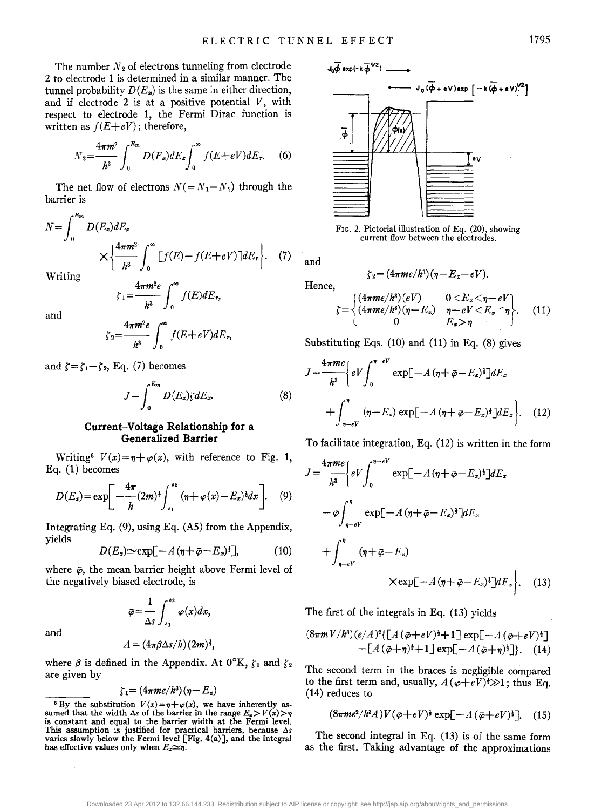The number  $N_2$  of electrons tunneling from electrode 2 to electrode 1 is determined in a similar manner. The tunnel probability  $D(E_x)$  is the same in either direction, and if electrode  $2$  is at a positive potential  $V$ , with respect to electrode 1, the Fermi-Dirac function is written as  $f(E+eV)$ ; therefore,

$$
N_2 = \frac{4\pi m^2}{h^3} \int_0^{E_m} D(E_z) dE_z \int_0^{\infty} f(E + eV) dE_r.
$$
 (6)

The net flow of electrons  $N (= N_1 - N_2)$  through the barrier is

$$
N = \int_0^{E_m} D(E_x) dE_x
$$
  
 
$$
\times \left\{ \frac{4\pi m^2}{h^3} \int_0^{\infty} [f(E) - f(E + eV)] dE_r \right\}.
$$
 (7)

Writing

$$
\zeta_1 = \frac{4\pi m^2 e}{h^3} \int_0^\infty f(E) dE_r,
$$

and

$$
\zeta_2 = \frac{4\pi m^2 e}{h^3} \int_0^\infty f(E + eV) dE_r,
$$

and  $\zeta = \zeta_1 - \zeta_2$ , Eq. (7) becomes

$$
J = \int_0^{E_m} D(E_x) \zeta dE_x.
$$
 (8)

#### Current-Voltage Relationship for a Generalized Barrier

Writing<sup>6</sup>  $V(x) = \eta + \varphi(x)$ , with reference to Fig. 1, Eq. (1) becomes

$$
D(E_x) = \exp\left[-\frac{4\pi}{h}(2m)^{\frac{1}{2}}\int_{s_1}^{s_2} (\eta + \varphi(x) - E_x)^{\frac{1}{2}} dx\right].
$$
 (9)

Integrating Eq. (9), using Eq. (AS) from the Appendix, yields

$$
D(E_z) \simeq \exp[-A(\eta + \bar{\varphi} - E_z)^{\dagger}], \tag{10}
$$

where  $\bar{\varphi}$ , the mean barrier height above Fermi level of the negatively biased electrode, is

$$
\bar{\varphi} = \frac{1}{\Delta s} \int_{s_1}^{s_2} \varphi(x) dx,
$$

and

$$
A = (4\pi\beta\Delta s/h)(2m)^{\frac{1}{2}},
$$

where  $\beta$  is defined in the Appendix. At  $0^\circ K$ ,  $\zeta_1$  and  $\zeta_2$ are given by

$$
\zeta_1{=}\left(4\pi me/h^3\right)(\eta-E_x)
$$



FIG. 2. Pictorial illustration of Eq. (20), showing current flow between the electrodes.

and

Hence,

$$
\zeta_2=(4\pi me/h^3)(\eta-E_z-eV).
$$

$$
\zeta = \begin{cases}\n(4\pi me/h^3)(eV) & 0 < E_x < \eta - eV \\
(4\pi me/h^3)(\eta - E_x) & \eta - eV < E_x < \eta \\
0 & E_x > \eta\n\end{cases}.\tag{11}
$$

Substituting Eqs.  $(10)$  and  $(11)$  in Eq.  $(8)$  gives

$$
J = \frac{4\pi me}{h^3} \Biggl\{ eV \int_0^{\eta - eV} \exp[-A(\eta + \bar{\varphi} - E_x)^{\frac{1}{2}}] dE_x
$$

$$
+ \int_{\eta - eV}^{\eta} (\eta - E_x) \exp[-A(\eta + \bar{\varphi} - E_x)^{\frac{1}{2}}] dE_x \Biggr\}. \quad (12)
$$

To facilitate integration, Eq. (12) is written in the form

$$
J = \frac{4\pi me}{h^3} \Biggl\{ eV \int_0^{\eta - eV} \exp[-A(\eta + \bar{\varphi} - E_x)^{\frac{1}{2}}] dE_x
$$
  

$$
- \bar{\varphi} \int_{\eta - eV}^{\eta} \exp[-A(\eta + \bar{\varphi} - E_x)^{\frac{1}{2}}] dE_x
$$
  

$$
+ \int_{\eta - eV}^{\eta} (\eta + \bar{\varphi} - E_x)
$$
  

$$
\times \exp[-A(\eta + \bar{\varphi} - E_x)^{\frac{1}{2}}] dE_x \Biggr\}. \quad (13)
$$

The first of the integrals in Eq. (13) yields

$$
(8\pi m V/h^{3})(e/A)^{2}\left\{\left[A(\bar{\varphi}+eV)^{1}+1\right]\exp[-A(\bar{\varphi}+eV)^{1}]-\left[A(\bar{\varphi}+\eta)^{1}+1\right]\exp[-A(\bar{\varphi}+\eta)^{1}]\right\}.
$$
 (14)

The second term in the braces is negligible compared to the first term and, usually,  $A(\varphi + eV)^{\frac{1}{2}} \gg 1$ ; thus Eq. (14) reduces to

$$
(8\pi me^2/h^3A)V(\bar{\varphi}+eV)^{\frac{1}{2}}\exp[-A(\bar{\varphi}+eV)^{\frac{1}{2}}].
$$
 (15)

The second integral in Eq. (13) is of the same form as the first. Taking advantage of the approximations

<sup>&</sup>lt;sup>6</sup> By the substitution  $V(x)=\eta+\varphi(x)$ , we have inherently assumed that the width  $\Delta s$  of the barrier in the range  $E_z > V(x) > \eta$ is constant and equal to the barrier width at the Fermi level. This assumption is justified for practical barriers, because  $\Delta s$  varies slowly below the Fermi level [Fig. 4(a)], and the integral has effective values only when  $E_x \simeq \eta$ .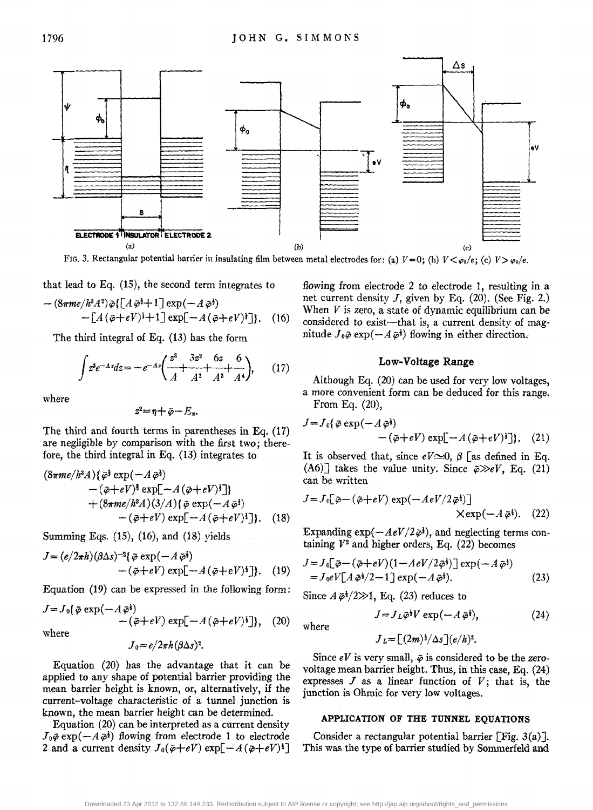

FIG. 3. Rectangular potential barrier in insulating film between metal electrodes for: (a)  $V=0$ ; (b)  $V<\varphi_0/e$ ; (c)  $V>\varphi_0/e$ .

that lead to Eq. (15), the second term integrates to

$$
-(8\pi me/h^3A^2)\bar{\varphi}\left\{\left[A\bar{\varphi}+1\right]\exp\left(-A\bar{\varphi}^{\dagger}\right)\right.-\left[A\left(\bar{\varphi}+eV\right)^{\dagger}+1\right]\exp\left[-A\left(\bar{\varphi}+eV\right)^{\dagger}\right]\right\}.
$$
 (16)

The third integral of Eq. (13) has the form

$$
\int z^3 e^{-Az} dz = -e^{-Az} \left( \frac{z^3}{A} + \frac{3z^2}{A^2} + \frac{6z}{A^3} + \frac{6}{A^4} \right), \qquad (17)
$$

where

$$
z^2 = \eta + \bar{\varphi} - E_x.
$$

The third and fourth terms in parentheses in Eq. (17) are negligible by comparison with the first two; therefore, the third integral in Eq. (13) integrates to

$$
(8\pi me/h^3 A)\{\bar{\varphi}^{\frac{1}{2}} \exp(-A\bar{\varphi}^{\frac{1}{2}})-(\bar{\varphi}+eV)^{\frac{1}{2}} \exp[-A(\bar{\varphi}+eV)^{\frac{1}{2}}]+(8\pi me/h^3 A)(3/A)\{\bar{\varphi} \exp(-A\bar{\varphi}^{\frac{1}{2}})-(\bar{\varphi}+eV) \exp[-A(\bar{\varphi}+eV)^{\frac{1}{2}}]. (18)
$$

Summing Eqs. (15), (16), and (18) yields

$$
J = (e/2\pi h)(\beta \Delta s)^{-2} {\vec{\phi}} \exp(-A\,\vec{\phi}^{\dagger})
$$
  
-(\vec{\phi} + eV) \exp[-A(\vec{\phi} + eV)^{\dagger}]. (19)

Equation (19) can be expressed in the following form: Since  $A\bar{\varphi}^{\dagger}/2\gg 1$ , Eq. (23) reduces to

$$
J = J_0\{\bar{\varphi} \exp(-A\bar{\varphi}^{\dagger}) - (\bar{\varphi} + eV) \exp[-A(\bar{\varphi} + eV)^{\dagger}]\}, \quad (20)
$$
\nwhere\n
$$
J = J_L \bar{\varphi}^{\dagger} V \exp(-A\bar{\varphi}^{\dagger}),
$$
\nwhere\n
$$
J_0 = e/2\pi h (\beta \Delta s)^2.
$$
\nwhere\n
$$
J_L = \left[ (2m)^{\dagger} / \Delta s \right] (e/h)^2.
$$

Equation (20) has the advantage that it can be applied to any shape of potential barrier providing the mean barrier height is known, or, alternatively, if the current-voltage characteristic of a tunnel junction is known, the mean barrier height can be determined.

Equation (20) can be interpreted as a current density  $J_0\bar{\varphi}$  exp( $-A\bar{\varphi}^{\dagger}$ ) flowing from electrode 1 to electrode 2 and a current density  $J_0(\bar{\varphi}+eV) \exp[-A(\bar{\varphi}+eV)^3]$  flowing from electrode 2 to electrode 1, resulting in a net current density *I,* given by Eq. (20). (See Fig. 2.) When *V* is zero, a state of dynamic equilibrium can be considered to exist-that is, a current density of magnitude  $J_0\tilde{\varphi}$  exp( $-A\tilde{\varphi}^{\dagger}$ ) flowing in either direction.

#### Low-Voltage Range

Although Eq. (20) can be used for very low voltages, a more convenient form can be deduced for this range. From Eq. (20),

$$
J = J_0\{\bar{\varphi} \exp(-A\bar{\varphi}^{\dagger}) - (\bar{\varphi} + eV) \exp[-A(\bar{\varphi} + eV)^{\dagger}]\}. (21)
$$

It is observed that, since  $eV \approx 0$ ,  $\beta$  [as defined in Eq.  $(A6)$ ] takes the value unity. Since  $\bar{\varphi} \gg eV$ , Eq. (21) can be written

$$
J = J_0 \left[ \bar{\varphi} - (\bar{\varphi} + eV) \exp(-AeV/2\bar{\varphi}^{\dagger}) \right]
$$
  
 
$$
\times \exp(-A\bar{\varphi}^{\dagger}).
$$
 (22)

Expanding  $\exp(-AeV/2\bar{\varphi}t)$ , and neglecting terms containing  $V^2$  and higher orders, Eq.  $(22)$  becomes

$$
J = J_0 \left[ \bar{\varphi} - (\bar{\varphi} + eV)(1 - AeV/2\bar{\varphi}^{\dagger}) \right] \exp(-A\bar{\varphi}^{\dagger})
$$
  
=  $J_0 eV[A\bar{\varphi}^{\dagger}/2 - 1] \exp(-A\bar{\varphi}^{\dagger}).$  (23)

$$
J = J_L \bar{\varphi}^{\frac{1}{2}} V \exp(-A \bar{\varphi}^{\frac{1}{2}}), \tag{24}
$$

$$
J_L = \left[ (2m)^{\frac{1}{2}} / \Delta s \right] (e/h)^2.
$$

Since  $eV$  is very small,  $\bar{\varphi}$  is considered to be the zerovoltage mean barrier height. Thus, in this case, Eq. (24) expresses  $J$  as a linear function of  $V$ ; that is, the junction is Ohmic for very low voltages.

#### APPLICATION OF THE TUNNEL EQUATIONS

Consider a rectangular potential barrier  $\lceil$  Fig. 3(a)]. This was the type of barrier studied by Sommerfeld and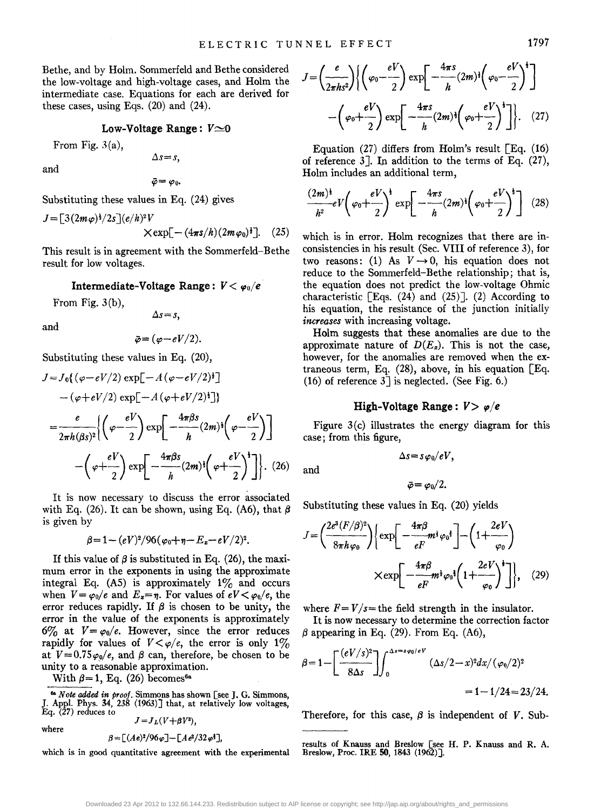Bethe, and by Holm. Sommerfeld and Bethe considered the low-voltage and high-voltage cases, and Holm the intermediate case. Equations for each are derived for these cases, using Eqs.  $(20)$  and  $(24)$ .

#### Low-Voltage Range:  $V \approx 0$

From Fig. 3(a),

 $\Delta s = s$ .

and

$$
\bar{\varphi}=\varphi_0.
$$

Substituting these values in Eq. (24) gives

$$
J = \left[3(2m\varphi)^{\frac{1}{2}}/2s\right](e/h)^2V
$$
  
 
$$
\times \exp[-(4\pi s/h)(2m\varphi_0)^{\frac{1}{2}}].
$$
 (25)

This result is in agreement with the Sommerfeld-Bethe result for low voltages.

#### **Intermediate-Voltage Range:**  $V < \varphi_0/e$

From Fig.  $3(b)$ ,

$$
\Delta s = s,
$$

and

$$
\bar{\varphi} = (\varphi - eV/2).
$$

Substituting these values in Eq. (20),

$$
J = J_0\{(\varphi - eV/2) \exp[-A(\varphi - eV/2)^{\frac{1}{2}}] - (\varphi + eV/2) \exp[-A(\varphi + eV/2)^{\frac{1}{2}}]\}
$$
  
= 
$$
\frac{e}{2\pi h(\beta s)^2} \Biggl\{ \left(\varphi - \frac{eV}{2}\right) \exp\left[-\frac{4\pi\beta s}{h}(2m)^{\frac{1}{2}}\left(\varphi - \frac{eV}{2}\right)\right] - \left(\varphi + \frac{eV}{2}\right) \exp\left[-\frac{4\pi\beta s}{h}(2m)^{\frac{1}{2}}\left(\varphi + \frac{eV}{2}\right)^{\frac{1}{2}}\right].
$$
 (26)

It is now necessary to discuss the error associated with Eq. (26). It can be shown, using Eq. (A6), that  $\beta$ is given by

$$
\beta=1-(eV)^2/96(\varphi_0+\eta-E_z-eV/2)^2.
$$

If this value of  $\beta$  is substituted in Eq. (26), the maximum error in the exponents in using the approximate integral Eq. (A5) is approximately  $1\%$  and occurs when  $V = \varphi_0/e$  and  $E_x = \eta$ . For values of  $eV < \varphi_0/e$ , the error reduces rapidly. If  $\beta$  is chosen to be unity, the error in the value of the exponents is approximately 6% at  $V = \varphi_0/e$ . However, since the error reduces rapidly for values of  $V < \varphi/e$ , the error is only 1% at  $V=0.75\varphi_0/e$ , and  $\beta$  can, therefore, be chosen to be unity to a reasonable approximation.

With  $\beta = 1$ , Eq. (26) becomes<sup>6a</sup>

$$
\quad\text{where}\quad
$$

$$
\beta = \left[ (Ae)^2/96\varphi \right] - \left[ Ae^2/32\varphi^{\frac{1}{2}} \right],
$$

which is in good quantitative agreement with the experimental

$$
J = \left(\frac{e}{2\pi ks^2}\right) \left\{ \left(\varphi_0 - \frac{eV}{2}\right) \exp\left[-\frac{4\pi s}{h}(2m)^3 \left(\varphi_0 - \frac{eV}{2}\right)^4\right] - \left(\varphi_0 + \frac{eV}{2}\right) \exp\left[-\frac{4\pi s}{h}(2m)^3 \left(\varphi_0 + \frac{eV}{2}\right)^3\right] \right\}.
$$
 (27)

Equation (27) differs from Holm's result  $\lceil$  Eq. (16) of reference 3]. In addition to the terms of Eq. (27), Holm includes an additional term,

$$
\frac{(2m)^{4}}{h^{2}}eV\left(\varphi_{0}+\frac{eV}{2}\right)^{4}\exp\left[-\frac{4\pi s}{h}(2m)^{4}\left(\varphi_{0}+\frac{eV}{2}\right)^{4}\right] (28)
$$

which is in error. Holm recognizes that there are inconsistencies in his result (Sec. VIII of reference 3), for two reasons: (1) As  $V \rightarrow 0$ , his equation does not reduce to the Sommerfeld-Bethe relationship; that is, the equation does not predict the low-voltage Ohmic characteristic  $\lceil$  Eqs. (24) and (25) $\lceil$ . (2) According to his equation, the resistance of the junction initially *increases* with increasing voltage.

Holm suggests that these anomalies are due to the approximate nature of  $D(E_{\rm z})$ . This is not the case, however, for the anomalies are removed when the extraneous term, Eq.  $(28)$ , above, in his equation [Eq. (16) of reference  $3$ ] is neglected. (See Fig. 6.)

#### **High-Voltage Range:**  $V > \varphi/e$

Figure 3(c) illustrates the energy diagram for this case; from this figure,

$$
\Delta s = s \varphi_0/eV,
$$

 $\bar{\varphi}=\varphi_0/2.$ 

Substituting these values in Eq. (20) yields

$$
J = \left(\frac{2e^3(F/\beta)^2}{8\pi h\varphi_0}\right) \left\{ \exp\left[-\frac{4\pi\beta}{eF}m^{\frac{1}{2}}\varphi_0^{\frac{3}{2}}\right] - \left(1 + \frac{2eV}{\varphi_0}\right) \right\}
$$

$$
\times \exp\left[-\frac{4\pi\beta}{eF}m^{\frac{1}{2}}\varphi_0^{\frac{3}{2}}\left(1 + \frac{2eV}{\varphi_0}\right)^{\frac{1}{2}}\right]\right\}, \quad (29)
$$

where  $F = V/s$  = the field strength in the insulator.

It is now necessary to determine the correction factor

$$
\beta \text{ appearing in Eq. (29). From Eq. (A6),}
$$
\n
$$
\beta = 1 - \left[ \frac{(eV/s)^2}{8\Delta s} \right] \int_0^{\Delta s = s \varphi_0 / sV} (\Delta s / 2 - x)^2 dx / (\varphi_0 / 2)^2
$$
\n
$$
= 1 - 1/24 = 23/24.
$$

Therefore, for this case,  $\beta$  is independent of *V*. Sub-

results of Knauss and Breslow [see H. P. Knauss and R. A. Breslow, Proc. IRE 50, 1843 (1962)].

and

<sup>&</sup>lt;sup>6a</sup> *Note added in proof.* Simmons has shown [see J. G. Simmons, J. Appl. Phys. 34, 238 (1963)] that, at relatively low voltages, Eq. (27) reduces to  $J=J<sub>L</sub>(V+\beta V^3)$ ,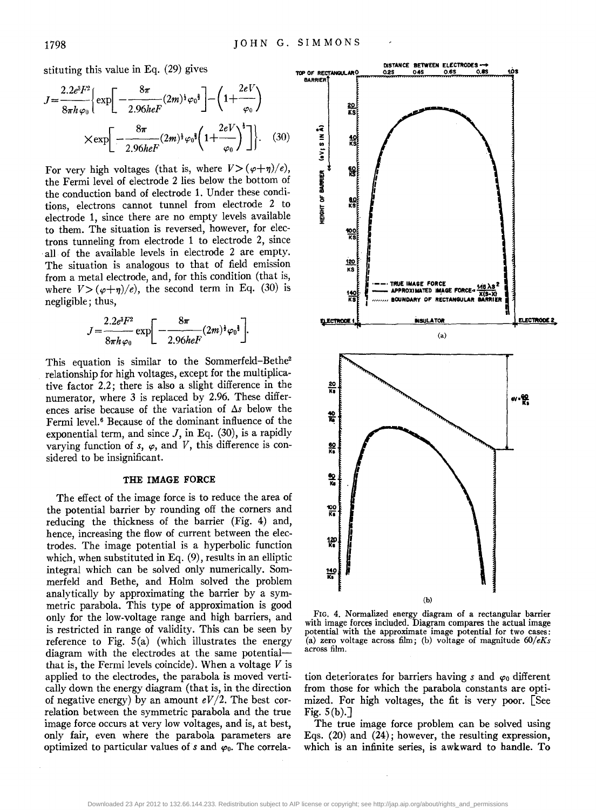stituting this value in Eq. (29) gives

$$
J = \frac{2.2e^{3}F^{2}}{8\pi h\,\varphi_{0}} \left\{ \exp\left[-\frac{8\pi}{2.96heF}(2m)^{\frac{1}{2}}\varphi_{0}^{\frac{1}{2}}\right] - \left(1 + \frac{2eV}{\varphi_{0}}\right) \right\}
$$

$$
\times \exp\left[-\frac{8\pi}{2.96heF}(2m)^{\frac{1}{2}}\varphi_{0}^{\frac{1}{2}}\left(1 + \frac{2eV}{\varphi_{0}}\right)^{\frac{1}{2}}\right]\right\}.
$$
 (30)

For very high voltages (that is, where  $V > (\varphi + \eta)/e$ ), the Fermi level of electrode 2 lies below the bottom of the conduction band of electrode 1. Under these conditions, electrons cannot tunnel from electrode 2 to electrode 1, since there are no empty levels available to them. The situation is reversed, however, for electrons tunneling from electrode 1 to electrode 2, since all of the available levels in electrode 2 are empty. The situation is analogous to that of field emission from a metal electrode, and, for this condition (that is, where  $V > (\varphi + \eta)/e$ , the second term in Eq. (30) is negligible; thus,

$$
J=\frac{2.2e^{3}F^{2}}{8\pi h\varphi_{0}}\exp\bigg[-\frac{8\pi}{2.96heF}(2m)^{\frac{1}{2}}\varphi_{0}^{\frac{1}{2}}\bigg].
$$

This equation is similar to the Sommerfeld-Bethe<sup>2</sup> relationship for high voltages, except for the mUltiplicative factor 2.2; there is also a slight difference in the numerator, where 3 is replaced by 2.96. These differences arise because of the variation of  $\Delta s$  below the Fermi level.<sup>6</sup> Because of the dominant influence of the exponential term, and since  $J$ , in Eq. (30), is a rapidly varying function of  $s$ ,  $\varphi$ , and  $V$ , this difference is considered to be insignificant.

#### THE IMAGE FORCE

The effect of the image force is to reduce the area of the potential barrier by rounding off the corners and reducing the thickness of the barrier (Fig. 4) and, hence, increasing the flow of current between the electrodes. The image potential is a hyperbolic function which, when substituted in Eq.  $(9)$ , results in an elliptic integral which can be solved only numerically. Sommerfeld and Bethe, and Holm solved the problem analytically by approximating the barrier by a symmetric parabola. This type of approximation is good only for the low-voltage range and high barriers, and is restricted in range of validity. This can be seen by reference to Fig.  $5(a)$  (which illustrates the energy diagram with the electrodes at the same potentialthat is, the Fermi levels coincide). When a voltage *V* is applied to the electrodes, the parabola is moved vertically down the energy diagram (that is, in the direction of negative energy) by an amount  $eV/2$ . The best correlation between the symmetric parabola and the true image force occurs at very low voltages, and is, at best, only fair, even where the parabola parameters are optimized to particular values of  $s$  and  $\varphi_0$ . The correla-



FIG. 4. Normalized energy diagram of a rectangular barrier with image forces included. Diagram compares the actual image potential with the approximate image potential for two cases: (a) zero voltage across film; (b) voltage of magnitude *60/eKs* across film.

tion deteriorates for barriers having  $s$  and  $\varphi_0$  different from those for which the parabola constants are optimized. For high voltages, the fit is very poor. [See Fig.  $5(b)$ .]

The true image force problem can be solved using Eqs. (20) and (24); however, the resulting expression, which is an infinite series, is awkward to handle. To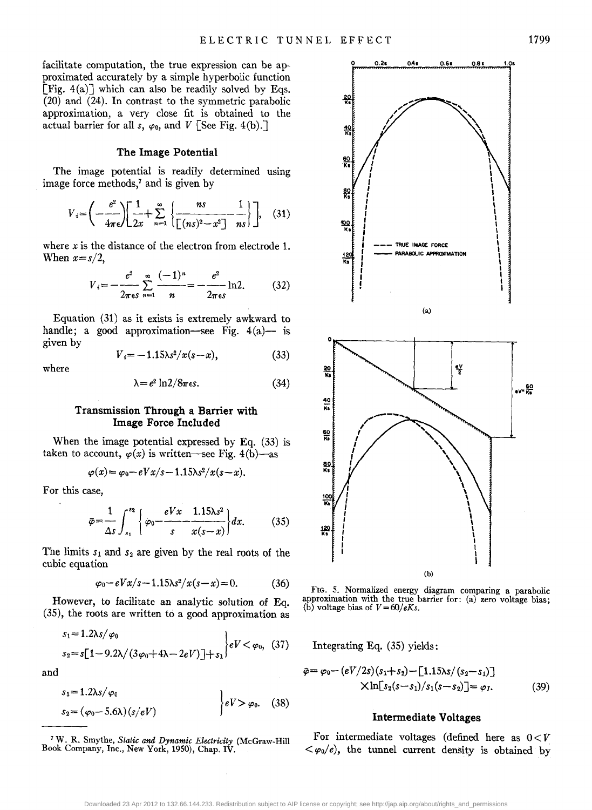facilitate computation, the true expression can be approximated accurately by a simple hyperbolic function [Fig.  $4(a)$ ] which can also be readily solved by Eqs. (20) and (24). In contrast to the symmetric parabolic approximation, a very close fit is obtained to the actual barrier for all *s*,  $\varphi_0$ , and *V* [See Fig. 4(b).]

# The Image Potential

The image potential is readily determined using image force methods,<sup>7</sup> and is given by

$$
V_i = \left(-\frac{e^2}{4\pi\epsilon}\right) \left[\frac{1}{2x} + \sum_{n=1}^{\infty} \left\{\frac{ns}{\left[(ns)^2 - x^2\right]} - \frac{1}{ns}\right\}\right], \quad (31)
$$

where *x* is the distance of the electron from electrode 1. When  $x = s/2$ ,

$$
V_i = -\frac{e^2}{2\pi\epsilon s} \sum_{n=1}^{\infty} \frac{(-1)^n}{n} = -\frac{e^2}{2\pi\epsilon s} \ln 2.
$$
 (32)

Equation (31) as it exists is extremely awkward to handle; a good approximation-see Fig.  $4(a)$ - is given by

$$
V_i = -1.15\lambda s^2/x(s-x),
$$
 (33)

where

$$
\lambda = e^2 \ln 2 / 8\pi \epsilon s. \tag{34}
$$

### Transmission Through a Barrier with Image Force Included

When the image potential expressed by Eq. (33) is taken to account,  $\varphi(x)$  is written-see Fig. 4(b)-as

$$
\varphi(x) = \varphi_0 - eVx/s - 1.15\lambda s^2/x(s - x).
$$

For this case,

$$
\bar{\varphi} = \frac{1}{\Delta s} \int_{s_1}^{s_2} \left\{ \varphi_0 - \frac{eVx}{s} \frac{1.15\lambda s^2}{x(s-x)} \right\} dx. \tag{35}
$$

The limits  $s_1$  and  $s_2$  are given by the real roots of the cubic equation

$$
\varphi_0 - eVx/s - 1.15\lambda s^2/x(s - x) = 0. \tag{36}
$$

However, to facilitate an analytic solution of Eq. (35), the roots are written to a good approximation as

$$
s_1 = 1.2\lambda s/\varphi_0
$$
  
\n
$$
s_2 = s[1-9.2\lambda/(3\varphi_0+4\lambda-2eV)]+s_1
$$

$$
\bigg\{eV < \varphi_0, (37)
$$

and

$$
s_1 = 1.2\lambda s/\varphi_0
$$
  
\n
$$
s_2 = (\varphi_0 - 5.6\lambda)(s/eV)
$$
  $\Bigg\}eV > \varphi_0.$  (38)

7 W. R. Smythe, *Static and Dynamic Electricity* (McGraw-Hill Book Company, Inc., New York, 1950), Chap. IV.



FIG. 5. Normalized energy diagram comparing a parabolic approximation with the true barrier for: (a) zero voltage bias; (b) voltage bias of  $V = 60/eKs$ .

Integrating Eq. (35) yields:

$$
\bar{\varphi} = \varphi_0 - (eV/2s)(s_1 + s_2) - [1.15\lambda s/(s_2 - s_1)]
$$
  
 
$$
\times \ln[s_2(s - s_1)/s_1(s - s_2)] = \varphi_I.
$$
 (39)

### Intermediate Voltages

For intermediate voltages (defined here as  $0 < V$  $<\varphi_0/e$ , the tunnel current density is obtained by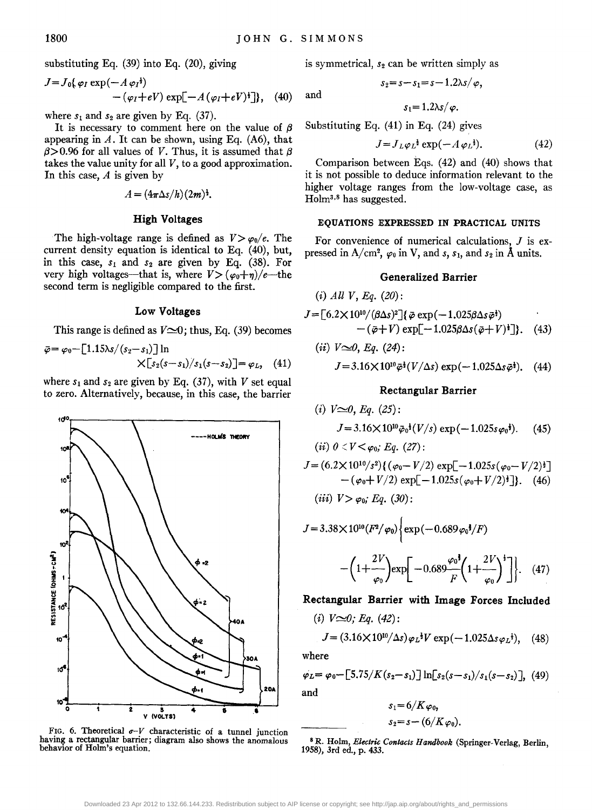and

substituting Eq. (39) into Eq. (20), giving

$$
J = J_0\{\varphi_I \exp(-A \varphi_I^{\dagger}) - (\varphi_I + eV) \exp[-A(\varphi_I + eV)^{\dagger}]\}, \quad (40)
$$

where  $s_1$  and  $s_2$  are given by Eq. (37).

It is necessary to comment here on the value of  $\beta$ appearing in  $A$ . It can be shown, using Eq. (A6), that  $\beta$ >0.96 for all values of *V*. Thus, it is assumed that  $\beta$ takes the value unity for all  $V$ , to a good approximation. In this case,  $A$  is given by

$$
A=(4\pi\Delta s/h)(2m)^{\frac{1}{2}}.
$$

#### High Voltages

The high-voltage range is defined as  $V > \varphi_0/e$ . The current density equation is identical to Eq. (40), but, in this case, *Sl* and *S2* are given by Eq. (38). For very high voltages—that is, where  $V > (\varphi_0 + \eta)/e$ —the second term is negligible compared to the first.

### Low Voltages

This range is defined as  $V \approx 0$ ; thus, Eq. (39) becomes

$$
\bar{\varphi} = \varphi_0 - [1.15\lambda s/(s_2 - s_1)] \ln \times [s_2(s - s_1)/s_1(s - s_2)] = \varphi_L, \quad (41)
$$

where  $s_1$  and  $s_2$  are given by Eq. (37), with *V* set equal to zero. Alternatively, because, in this case, the barrier



FIG. 6. Theoretical  $\sigma$ -*V* characteristic of a tunnel junction having a rectangular barrier; diagram also shows the anomalous behavior of Holm's equation.

is symmetrical, *S2* can be written simply as

$$
s_2 = s - s_1 = s - 1.2\lambda s/\varphi,
$$

$$
s_1=1.2\lambda s/\varphi.
$$

Substituting Eq.  $(41)$  in Eq.  $(24)$  gives

$$
J = J_L \varphi_L^{\frac{1}{2}} \exp(-A \varphi_L^{\frac{1}{2}}). \tag{42}
$$

Comparison between Eqs. (42) and (40) shows that it is not possible to deduce information relevant to the higher voltage ranges from the low-voltage case, as Holm<sup>3,8</sup> has suggested.

### EQUATIONS EXPRESSED IN PRACTICAL UNITS

For convenience of numerical calculations,  $J$  is expressed in A/cm<sup>2</sup>,  $\varphi_0$  in V, and *s*, *s*<sub>1</sub>, and *s*<sub>2</sub> in Å units.

## Generalized Barrier

$$
J = [6.2 \times 10^{10} / (\beta \Delta s)^2] {\mathbf{\{\vec{\varphi} \exp(-1.025 \beta \Delta s \vec{\varphi}^{\dagger})\}} - (\vec{\varphi} + V) \exp[-1.025 \beta \Delta s (\vec{\varphi} + V)^{\dagger}]}.
$$
 (43)

(*ii*) 
$$
V \simeq 0
$$
, Eq. (24):  
\n $J = 3.16 \times 10^{10} \bar{\varphi}^{\frac{1}{2}} (V/\Delta s) \exp(-1.025 \Delta s \bar{\varphi}^{\frac{1}{2}}).$  (44)

#### Rectangular Barrier

(i) 
$$
V \approx 0
$$
, Eq. (25):  
\n $J = 3.16 \times 10^{10} \bar{\varphi}_0^4 (V/s) \exp(-1.025 s \varphi_0^4)$ . (45)

$$
J = (6.2 \times 10^{10}/s^2) \{ (\varphi_0 - V/2) \exp[-1.025s(\varphi_0 - V/2)^3] - (\varphi_0 + V/2) \exp[-1.025s(\varphi_0 + V/2)^3] \}. \quad (46)
$$

(*iii*) 
$$
V > \varphi_0
$$
;  $Eq. (30)$ :

(*ii*)  $0 < V < \varphi_0$ ; *Eq.* (27):

(i) *All V, Eq. (20):* 

$$
J = 3.38 \times 10^{10} (F^2/\varphi_0) \left\{ \exp(-0.689 \varphi_0^{\frac{2}{3}}/F) - \left(1 + \frac{2V}{\varphi_0}\right) \exp\left[-0.689 \frac{\varphi_0^{\frac{2}{3}}}{F} \left(1 + \frac{2V}{\varphi_0}\right)^{\frac{2}{3}}\right] \right\}. \quad (47)
$$

# Rectangular Barrier with Image Forces Included

$$
(i) V \infty 0; Eq. (42):
$$

$$
J = (3.16 \times 10^{10}/\Delta s) \varphi_L^{\dagger} V \exp(-1.025 \Delta s \varphi_L^{\dagger}), \quad (48)
$$

where

$$
\varphi_L = \varphi_0 - [5.75/K(s_2 - s_1)] \ln[s_2(s - s_1)/s_1(s - s_2)], \quad (49)
$$
  
and

$$
s_1=6/K\varphi_0,
$$
  

$$
s_2=s-(6/K\varphi_0).
$$

<sup>8</sup> R. Holm, *Electric Contacts Handbook* (Springer-Verlag, Berlin, 1958), 3rd ed., p. 433.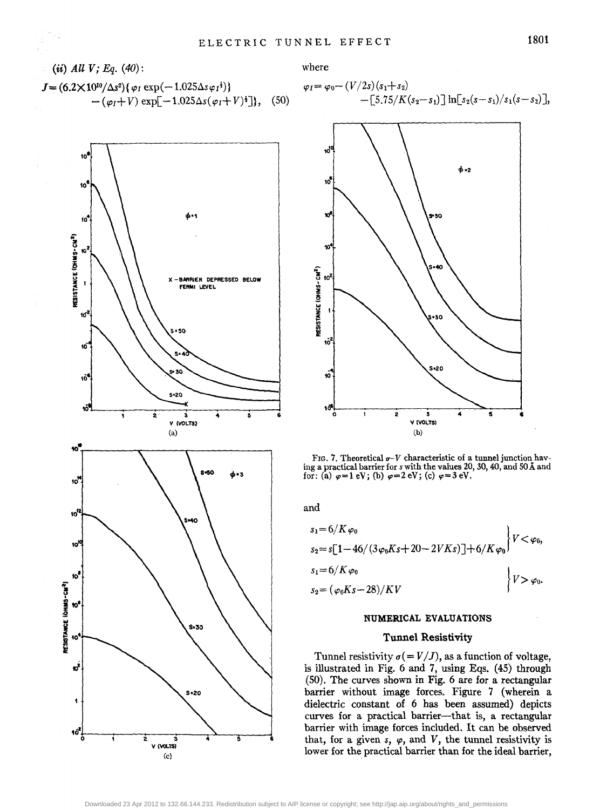$$
J = (6.2 \times 10^{10} / \Delta s^2) {\varphi_I \exp(-1.025 \Delta s \varphi_I t)} - (\varphi_I + V) \exp[-1.025 \Delta s (\varphi_I + V)^{\dagger}], \quad (50)
$$



where

$$
\varphi_I = \varphi_0 - (V/2s)(s_1 + s_2) - [5.75/K(s_2 - s_1)] \ln[s_2(s - s_1)/s_1(s - s_2)],
$$



FIG. 7. Theoretical  $\sigma$ -V characteristic of a tunnel junction having a practical barrier for *s* with the values 20, 30, 40, and 50 A and for: (a)  $\varphi=1$  eV; (b)  $\varphi=2$  eV; (c)  $\varphi=3$  eV.

and

$$
s_1 = 6/K \varphi_0
$$
  
\n
$$
s_2 = s[1 - 46/(3\varphi_0 Ks + 20 - 2VKs)] + 6/K \varphi_0
$$
  
\n
$$
s_1 = 6/K \varphi_0
$$
  
\n
$$
s_2 = (\varphi_0 Ks - 28)/KV
$$
\n
$$
V > \varphi_0.
$$

#### NUMERICAL EVALUATIONS

#### Tunnel Resistivity

Tunnel resistivity  $\sigma (= V/J)$ , as a function of voltage, is illustrated in Fig. 6 and 7, using Eqs. (45) through (SO). The curves shown in Fig. 6 are for a rectangular barrier without image forces. Figure 7 (wherein a dielectric constant of 6 has been assumed) depicts curves for a practical barrier-that is, a rectangular barrier with image forces included. It can be observed that, for a given  $s$ ,  $\varphi$ , and  $V$ , the tunnel resistivity is lower for the practical barrier than for the ideal barrier,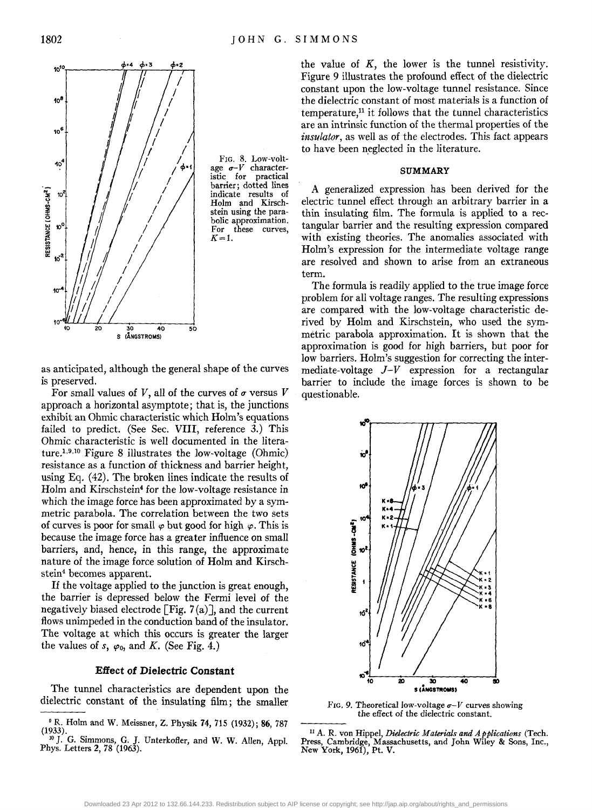

FIG. 8. Low-voltage  $\sigma$ -*V* character-<br>istic for practical practical barrier; dotted lines indicate results of Holm and Kirschstein using the parabolic approximation.<br>For these curves. For these *K=1.* 

as anticipated, although the general shape of the curves is preserved.

For small values of V, all of the curves of  $\sigma$  versus V approach a horizontal asymptote; that is, the junctions exhibit an Ohmic characteristic which Holm's equations failed to predict. (See Sec. VIII, reference 3.) This Ohmic characteristic is well documented in the literature.<sup>1,9,10</sup> Figure 8 illustrates the low-voltage (Ohmic) resistance as a function of thickness and barrier height, using Eq. (42). The broken lines indicate the results of Holm and Kirschstein4 for the low-voltage resistance in which the image force has been approximated by a symmetric parabola. The correlation between the two sets of curves is poor for small  $\varphi$  but good for high  $\varphi$ . This is because the image force has a greater influence on small barriers, and, hence, in this range, the approximate nature of the image force solution of Holm and Kirschstein<sup>4</sup> becomes apparent.

If the voltage applied to the junction is great enough, the barrier is depressed below the Fermi level of the negatively biased electrode [Fig.  $7(a)$ ], and the current flows unimpeded in the conduction band of the insulator. The voltage at which this occurs is greater the larger the values of *s*,  $\varphi_0$ , and *K*. (See Fig. 4.)

# **Effect of Dielectric Constant**

The tunnel characteristics are dependent upon the dielectric constant of the insulating film; the smaller

the value of  $K$ , the lower is the tunnel resistivity. Figure 9 illustrates the profound effect of the dielectric constant upon the low-voltage tunnel resistance. Since the dielectric constant of most materials is a function of temperature.<sup>11</sup> it follows that the tunnel characteristics are an intrinsic function of the thermal properties of the *insulator,* as well as of the electrodes. This fact appears to have been neglected in the literature.

#### **SUMMARY**

A generalized expression has been derived for the electric tunnel effect through an arbitrary barrier in a thin insulating film. The formula is applied to a rectangular barrier and the resulting expression compared with existing theories. The anomalies associated with Holm's expression for the intermediate voltage range are resolved and shown to arise from an extraneous term.

The formula is readily applied to the true image force problem for all voltage ranges. The resulting expressions are compared with the low-voltage characteristic derived by Holm and Kirschstein, who used the symmetric parabola approximation. It is shown that the approximation is good for high barriers, but poor for low barriers. Holm's suggestion for correcting the intermediate-voltage  $J-V$  expression for a rectangular barrier to include the image forces is shown to be questionable.



FIG. 9. Theoretical low-voltage  $\sigma$ -V curves showing the effect of the dielectric constant.

II A. R. von Hippe1, *Dielectric Materials and A pplications* (Tech. Press, Cambridge, Massachusetts, and John Wiley & Sons, Inc., New York, 1961), Pt. V.

<sup>&</sup>lt;sup>9</sup> R. Holm and W. Meissner, Z. Physik 74, 715 (1932); 86, 787 (1933).

<sup>&</sup>lt;sup>10</sup> J. G. Simmons, G. J. Unterkofler, and W. W. Allen, Appl. Phys. Letters 2, 78 (1963).